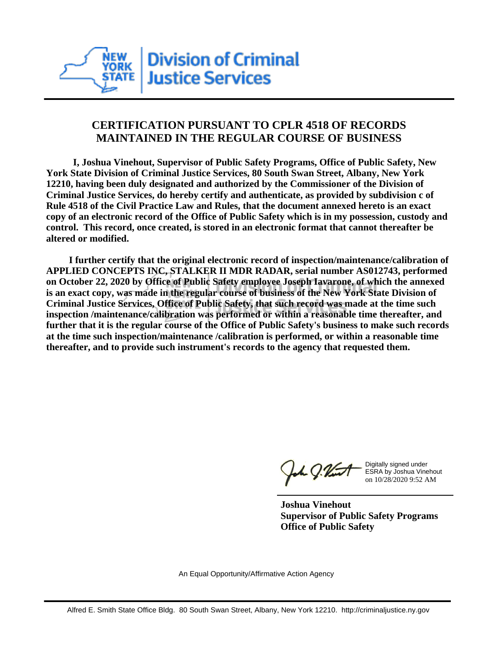

## **CERTIFICATION PURSUANT TO CPLR 4518 OF RECORDS MAINTAINED IN THE REGULAR COURSE OF BUSINESS**

 **I, Joshua Vinehout, Supervisor of Public Safety Programs, Office of Public Safety, New York State Division of Criminal Justice Services, 80 South Swan Street, Albany, New York 12210, having been duly designated and authorized by the Commissioner of the Division of Criminal Justice Services, do hereby certify and authenticate, as provided by subdivision c of Rule 4518 of the Civil Practice Law and Rules, that the document annexed hereto is an exact copy of an electronic record of the Office of Public Safety which is in my possession, custody and control. This record, once created, is stored in an electronic format that cannot thereafter be altered or modified.**

 **I further certify that the original electronic record of inspection/maintenance/calibration of APPLIED CONCEPTS INC, STALKER II MDR RADAR, serial number AS012743, performed on October 22, 2020 by Office of Public Safety employee Joseph Iavarone, of which the annexed is an exact copy, was made in the regular course of business of the New York State Division of Criminal Justice Services, Office of Public Safety, that such record was made at the time such inspection /maintenance/calibration was performed or within a reasonable time thereafter, and further that it is the regular course of the Office of Public Safety's business to make such records at the time such inspection/maintenance /calibration is performed, or within a reasonable time thereafter, and to provide such instrument's records to the agency that requested them.**

h J.Vint

Digitally signed under ESRA by Joshua Vinehout on 10/28/2020 9:52 AM

**Joshua Vinehout Supervisor of Public Safety Programs Office of Public Safety**

An Equal Opportunity/Affirmative Action Agency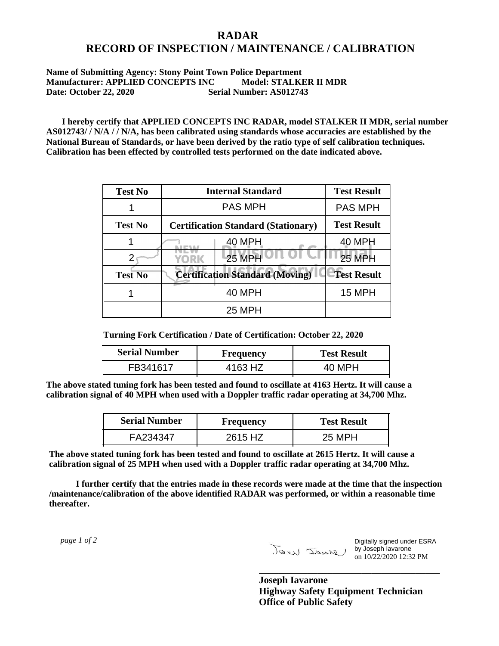## **RADAR RECORD OF INSPECTION / MAINTENANCE / CALIBRATION**

**Name of Submitting Agency: Stony Point Town Police Department Manufacturer: APPLIED CONCEPTS INC Model: STALKER II MDR Date: October 22, 2020 Serial Number: AS012743**

 **I hereby certify that APPLIED CONCEPTS INC RADAR, model STALKER II MDR, serial number AS012743/ / N/A / / N/A, has been calibrated using standards whose accuracies are established by the National Bureau of Standards, or have been derived by the ratio type of self calibration techniques. Calibration has been effected by controlled tests performed on the date indicated above.**

| <b>Test No</b> | <b>Internal Standard</b>                   | <b>Test Result</b> |
|----------------|--------------------------------------------|--------------------|
|                | <b>PAS MPH</b>                             | <b>PAS MPH</b>     |
| <b>Test No</b> | <b>Certification Standard (Stationary)</b> | <b>Test Result</b> |
|                | 40 MPH                                     | 40 MPH             |
|                | $25$ MPH<br>YORK                           | <b>25 MPH</b>      |
| <b>Test No</b> | <b>Certification Standard (Moving)</b>     | <b>Test Result</b> |
|                | <b>40 MPH</b>                              | <b>15 MPH</b>      |
|                | <b>25 MPH</b>                              |                    |

**Turning Fork Certification / Date of Certification: October 22, 2020**

| <b>Serial Number</b> | <b>Frequency</b> | <b>Test Result</b> |
|----------------------|------------------|--------------------|
| FB341617             | 4163 HZ          | 40 MPH             |

**The above stated tuning fork has been tested and found to oscillate at 4163 Hertz. It will cause a calibration signal of 40 MPH when used with a Doppler traffic radar operating at 34,700 Mhz.**

| <b>Serial Number</b> | Frequency | <b>Test Result</b> |
|----------------------|-----------|--------------------|
| FA234347             | 2615 HZ   | 25 MPH             |

**The above stated tuning fork has been tested and found to oscillate at 2615 Hertz. It will cause a calibration signal of 25 MPH when used with a Doppler traffic radar operating at 34,700 Mhz.**

 **I further certify that the entries made in these records were made at the time that the inspection /maintenance/calibration of the above identified RADAR was performed, or within a reasonable time thereafter.**

 *page 1 of 2* 

Digitally signed under ESRA by Joseph Iavarone on 10/22/2020 12:32 PM

**Joseph Iavarone Highway Safety Equipment Technician Office of Public Safety**

**\_\_\_\_\_\_\_\_\_\_\_\_\_\_\_\_\_\_\_\_\_\_\_\_\_\_\_\_\_\_\_\_\_\_\_\_\_**